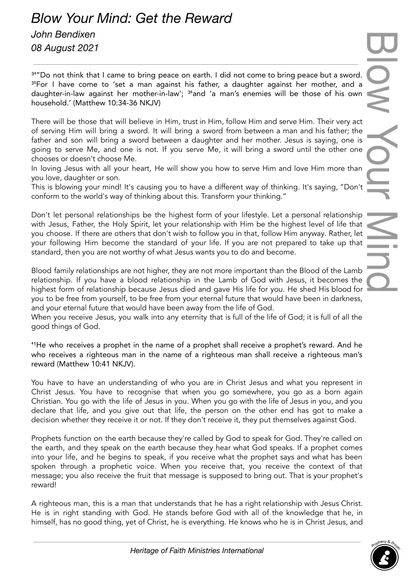## *John Bendixen 08 August 2021*

34"Do not think that I came to bring peace on earth. I did not come to bring peace but a sword. <sup>35</sup>For I have come to 'set a man against his father, a daughter against her mother, and a daughter-in-law against her mother-in-law'; <sup>36</sup>and 'a man's enemies will be those of his own household.' (Matthew 10:34-36 NKJV)

There will be those that will believe in Him, trust in Him, follow Him and serve Him. Their very act of serving Him will bring a sword. It will bring a sword from between a man and his father; the father and son will bring a sword between a daughter and her mother. Jesus is saying, one is going to serve Me, and one is not. If you serve Me, it will bring a sword until the other one chooses or doesn't choose Me.

In loving Jesus with all your heart, He will show you how to serve Him and love Him more than you love, daughter or son.

This is blowing your mind! It's causing you to have a different way of thinking. It's saying, "Don't conform to the world's way of thinking about this. Transform your thinking."

Don't let personal relationships be the highest form of your lifestyle. Let a personal relationship with Jesus, Father, the Holy Spirit, let your relationship with Him be the highest level of life that you choose. If there are others that don't wish to follow you in that, follow Him anyway. Rather, let your following Him become the standard of your life. If you are not prepared to take up that standard, then you are not worthy of what Jesus wants you to do and become.

Blood family relationships are not higher, they are not more important than the Blood of the Lamb relationship. If you have a blood relationship in the Lamb of God with Jesus, it becomes the highest form of relationship because Jesus died and gave His life for you. He shed His blood for I you to be free from yourself, to be free from your eternal future that would have been in darkness, and your eternal future that would have been away from the life of God.

When you receive Jesus, you walk into any eternity that is full of the life of God; it is full of all the good things of God.

<sup>41</sup>He who receives a prophet in the name of a prophet shall receive a prophet's reward. And he who receives a righteous man in the name of a righteous man shall receive a righteous man's reward (Matthew 10:41 NKJV).

You have to have an understanding of who you are in Christ Jesus and what you represent in Christ Jesus. You have to recognise that when you go somewhere, you go as a born again Christian. You go with the life of Jesus in you. When you go with the life of Jesus in you, and you declare that life, and you give out that life, the person on the other end has got to make a decision whether they receive it or not. If they don't receive it, they put themselves against God.

Prophets function on the earth because they're called by God to speak for God. They're called on the earth, and they speak on the earth because they hear what God speaks. If a prophet comes into your life, and he begins to speak, if you receive what the prophet says and what has been spoken through a prophetic voice. When you receive that, you receive the context of that message; you also receive the fruit that message is supposed to bring out. That is your prophet's reward!

A righteous man, this is a man that understands that he has a right relationship with Jesus Christ. He is in right standing with God. He stands before God with all of the knowledge that he, in himself, has no good thing, yet of Christ, he is everything. He knows who he is in Christ Jesus, and